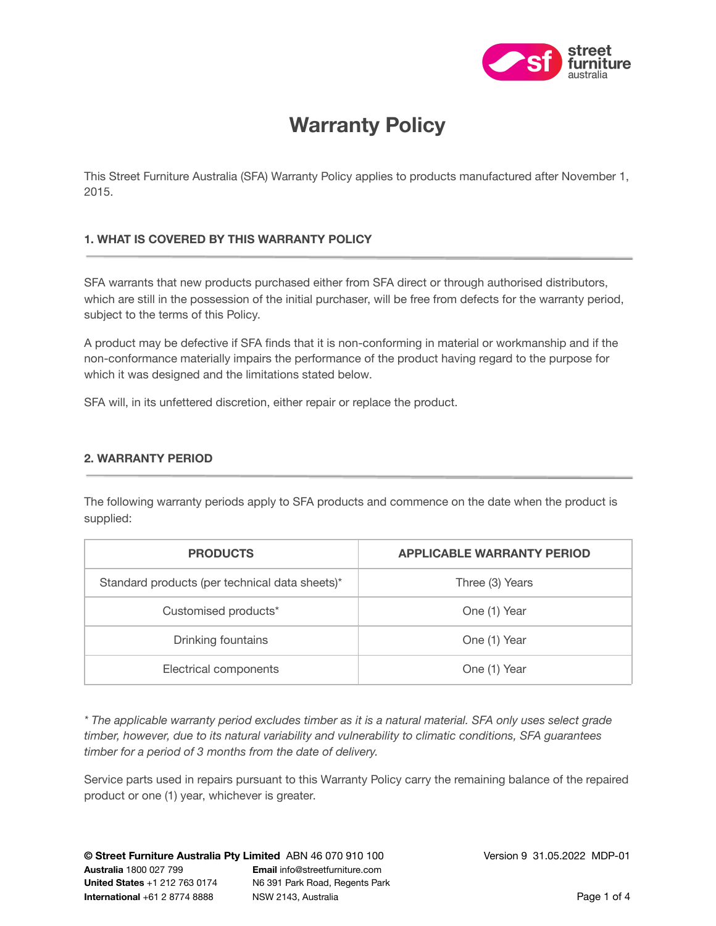

# **Warranty Policy**

This Street Furniture Australia (SFA) Warranty Policy applies to products manufactured after November 1, 2015.

# **1. WHAT IS COVERED BY THIS WARRANTY POLICY**

SFA warrants that new products purchased either from SFA direct or through authorised distributors, which are still in the possession of the initial purchaser, will be free from defects for the warranty period, subject to the terms of this Policy.

A product may be defective if SFA finds that it is non-conforming in material or workmanship and if the non-conformance materially impairs the performance of the product having regard to the purpose for which it was designed and the limitations stated below.

SFA will, in its unfettered discretion, either repair or replace the product.

# **2. WARRANTY PERIOD**

The following warranty periods apply to SFA products and commence on the date when the product is supplied:

| <b>PRODUCTS</b>                                | <b>APPLICABLE WARRANTY PERIOD</b> |
|------------------------------------------------|-----------------------------------|
| Standard products (per technical data sheets)* | Three (3) Years                   |
| Customised products*                           | One (1) Year                      |
| Drinking fountains                             | One (1) Year                      |
| Electrical components                          | One (1) Year                      |

\* The applicable warranty period excludes timber as it is a natural material. SFA only uses select grade *timber, however, due to its natural variability and vulnerability to climatic conditions, SFA guarantees timber for a period of 3 months from the date of delivery.*

Service parts used in repairs pursuant to this Warranty Policy carry the remaining balance of the repaired product or one (1) year, whichever is greater.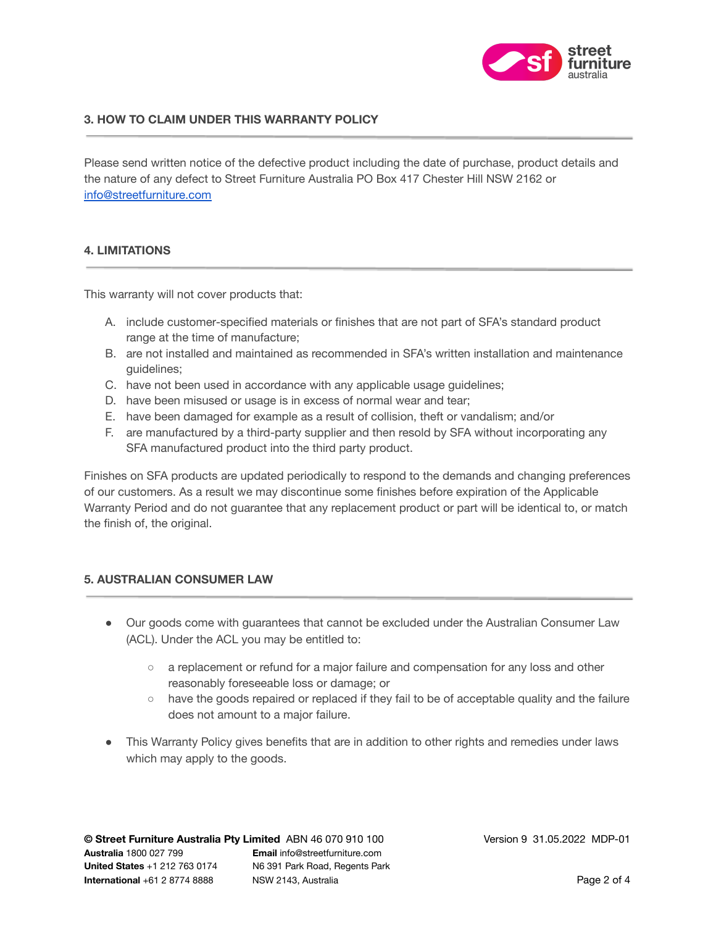

# **3. HOW TO CLAIM UNDER THIS WARRANTY POLICY**

Please send written notice of the defective product including the date of purchase, product details and the nature of any defect to Street Furniture Australia PO Box 417 Chester Hill NSW 2162 or [info@streetfurniture.com](mailto:info@streetfurniture.com)

## **4. LIMITATIONS**

This warranty will not cover products that:

- A. include customer-specified materials or finishes that are not part of SFA's standard product range at the time of manufacture;
- B. are not installed and maintained as recommended in SFA's written installation and maintenance guidelines;
- C. have not been used in accordance with any applicable usage guidelines;
- D. have been misused or usage is in excess of normal wear and tear;
- E. have been damaged for example as a result of collision, theft or vandalism; and/or
- F. are manufactured by a third-party supplier and then resold by SFA without incorporating any SFA manufactured product into the third party product.

Finishes on SFA products are updated periodically to respond to the demands and changing preferences of our customers. As a result we may discontinue some finishes before expiration of the Applicable Warranty Period and do not guarantee that any replacement product or part will be identical to, or match the finish of, the original.

## **5. AUSTRALIAN CONSUMER LAW**

- Our goods come with guarantees that cannot be excluded under the Australian Consumer Law (ACL). Under the ACL you may be entitled to:
	- a replacement or refund for a major failure and compensation for any loss and other reasonably foreseeable loss or damage; or
	- have the goods repaired or replaced if they fail to be of acceptable quality and the failure does not amount to a major failure.
- This Warranty Policy gives benefits that are in addition to other rights and remedies under laws which may apply to the goods.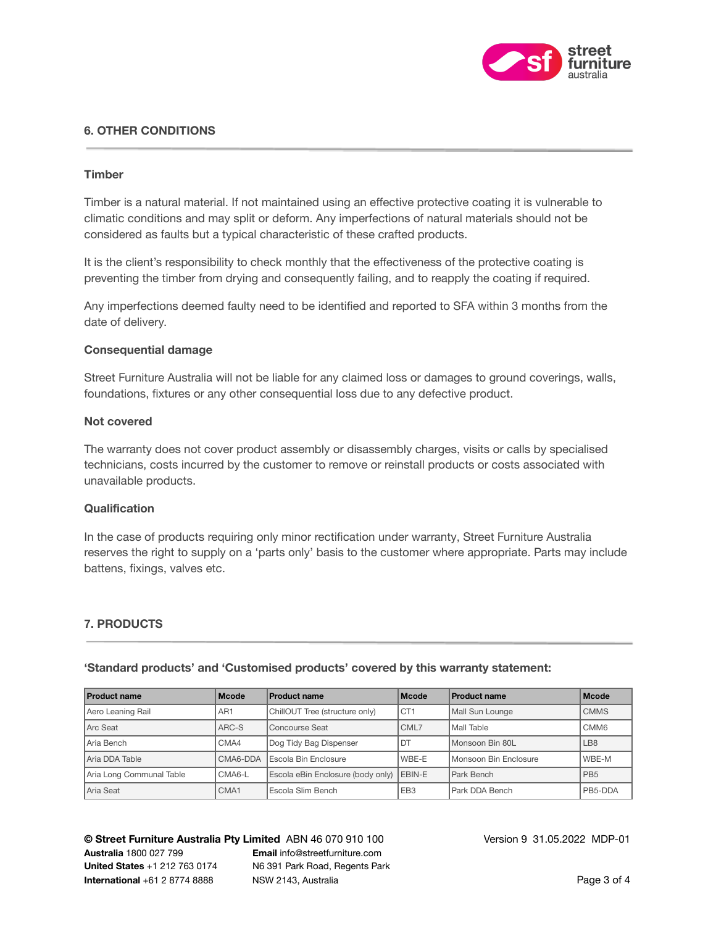

# **6. OTHER CONDITIONS**

## **Timber**

Timber is a natural material. If not maintained using an effective protective coating it is vulnerable to climatic conditions and may split or deform. Any imperfections of natural materials should not be considered as faults but a typical characteristic of these crafted products.

It is the client's responsibility to check monthly that the effectiveness of the protective coating is preventing the timber from drying and consequently failing, and to reapply the coating if required.

Any imperfections deemed faulty need to be identified and reported to SFA within 3 months from the date of delivery.

#### **Consequential damage**

Street Furniture Australia will not be liable for any claimed loss or damages to ground coverings, walls, foundations, fixtures or any other consequential loss due to any defective product.

#### **Not covered**

The warranty does not cover product assembly or disassembly charges, visits or calls by specialised technicians, costs incurred by the customer to remove or reinstall products or costs associated with unavailable products.

#### **Qualification**

In the case of products requiring only minor rectification under warranty, Street Furniture Australia reserves the right to supply on a 'parts only' basis to the customer where appropriate. Parts may include battens, fixings, valves etc.

## **7. PRODUCTS**

| <b>Product name</b>      | <b>Mcode</b>    | <b>Product name</b>               | <b>Mcode</b>    | <b>Product name</b>   | <b>Mcode</b>    |
|--------------------------|-----------------|-----------------------------------|-----------------|-----------------------|-----------------|
| Aero Leaning Rail        | AR <sub>1</sub> | ChillOUT Tree (structure only)    | CT <sub>1</sub> | Mall Sun Lounge       | <b>CMMS</b>     |
| Arc Seat                 | ARC-S           | Concourse Seat                    | CML7            | Mall Table            | CMM6            |
| Aria Bench               | CMA4            | Dog Tidy Bag Dispenser            | DT              | Monsoon Bin 80L       | LB <sub>8</sub> |
| Aria DDA Table           | CMA6-DDA        | Escola Bin Enclosure              | WBE-E           | Monsoon Bin Enclosure | WBE-M           |
| Aria Long Communal Table | CMA6-L          | Escola eBin Enclosure (body only) | <b>LEBIN-E</b>  | Park Bench            | PB <sub>5</sub> |
| Aria Seat                | CMA1            | Escola Slim Bench                 | EB <sub>3</sub> | Park DDA Bench        | PB5-DDA         |

## **'Standard products' and 'Customised products' covered by this warranty statement:**